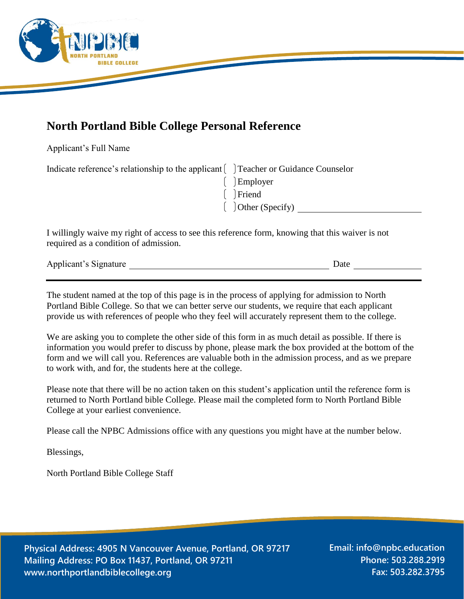

## **North Portland Bible College Personal Reference**

Applicant's Full Name

| Indicate reference's relationship to the applicant [Contract Figure 21 Teacher or Guidance Counselor |                                 |
|------------------------------------------------------------------------------------------------------|---------------------------------|
|                                                                                                      | $\left[ \quad \right]$ Employer |
|                                                                                                      | $\int$ Friend                   |
|                                                                                                      | $\int$ Other (Specify)          |

I willingly waive my right of access to see this reference form, knowing that this waiver is not required as a condition of admission.

| Applicant's Signature |  |  |
|-----------------------|--|--|
|                       |  |  |

The student named at the top of this page is in the process of applying for admission to North Portland Bible College. So that we can better serve our students, we require that each applicant provide us with references of people who they feel will accurately represent them to the college.

We are asking you to complete the other side of this form in as much detail as possible. If there is information you would prefer to discuss by phone, please mark the box provided at the bottom of the form and we will call you. References are valuable both in the admission process, and as we prepare to work with, and for, the students here at the college.

Please note that there will be no action taken on this student's application until the reference form is returned to North Portland bible College. Please mail the completed form to North Portland Bible College at your earliest convenience.

Please call the NPBC Admissions office with any questions you might have at the number below.

Blessings,

North Portland Bible College Staff

**Physical Address: 4905 N Vancouver Avenue, Portland, OR 97217 Mailing Address: PO Box 11437, Portland, OR 97211 www.northportlandbiblecollege.org**

**Email: info@npbc.education Phone: 503.288.2919 Fax: 503.282.3795**